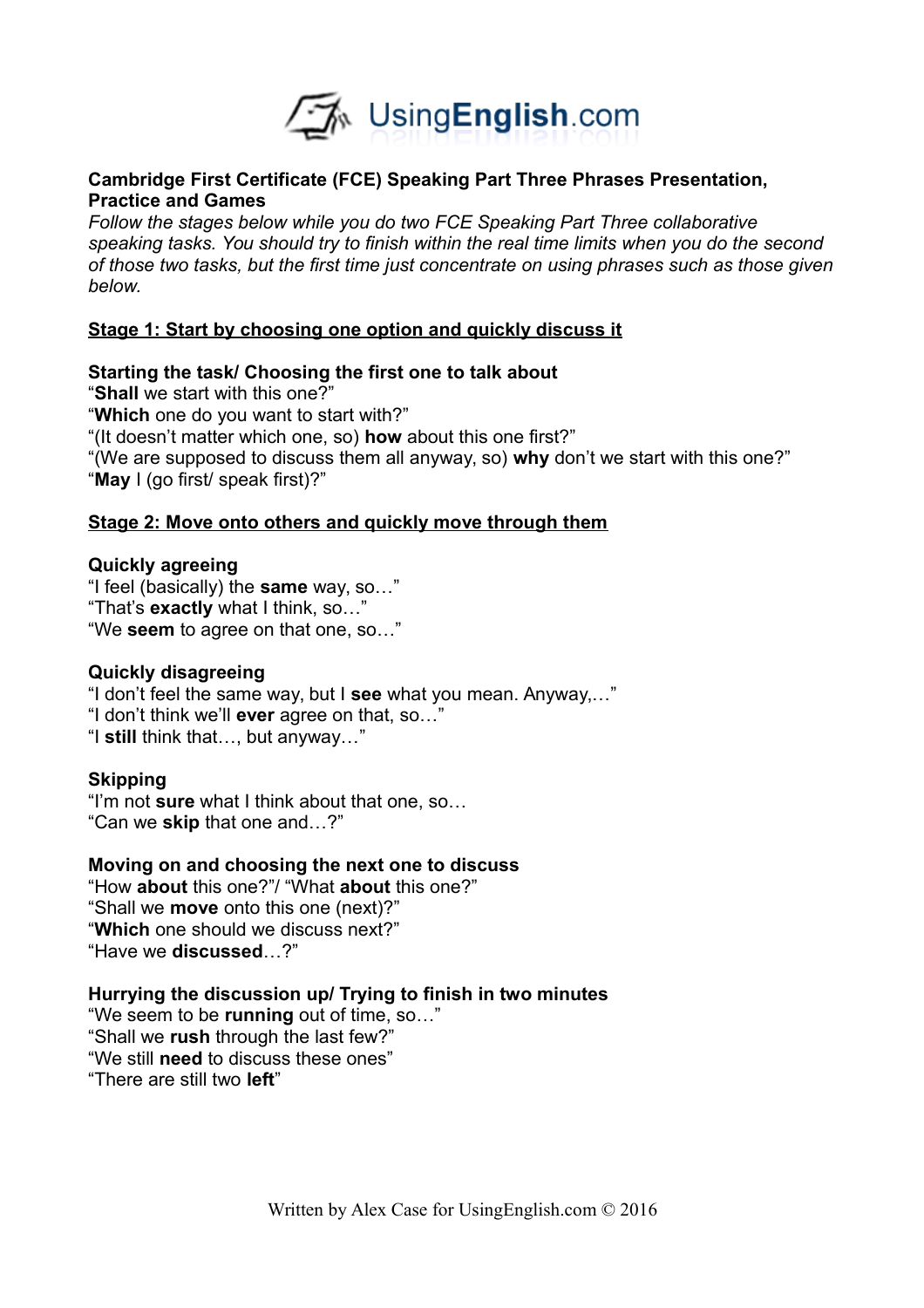

# **Cambridge First Certificate (FCE) Speaking Part Three Phrases Presentation, Practice and Games**

*Follow the stages below while you do two FCE Speaking Part Three collaborative speaking tasks. You should try to finish within the real time limits when you do the second of those two tasks, but the first time just concentrate on using phrases such as those given below.* 

# **Stage 1: Start by choosing one option and quickly discuss it**

**Starting the task/ Choosing the first one to talk about** "**Shall** we start with this one?" "**Which** one do you want to start with?" "(It doesn't matter which one, so) **how** about this one first?" "(We are supposed to discuss them all anyway, so) **why** don't we start with this one?" "**May** I (go first/ speak first)?"

# **Stage 2: Move onto others and quickly move through them**

# **Quickly agreeing**

"I feel (basically) the **same** way, so…" "That's **exactly** what I think, so…" "We **seem** to agree on that one, so…"

# **Quickly disagreeing**

"I don't feel the same way, but I **see** what you mean. Anyway,…" "I don't think we'll **ever** agree on that, so…" "I **still** think that…, but anyway…"

# **Skipping**

"I'm not **sure** what I think about that one, so… "Can we **skip** that one and…?"

# **Moving on and choosing the next one to discuss**

"How **about** this one?"/ "What **about** this one?" "Shall we **move** onto this one (next)?" "**Which** one should we discuss next?" "Have we **discussed**…?"

# **Hurrying the discussion up/ Trying to finish in two minutes**

"We seem to be **running** out of time, so…" "Shall we **rush** through the last few?" "We still **need** to discuss these ones" "There are still two **left**"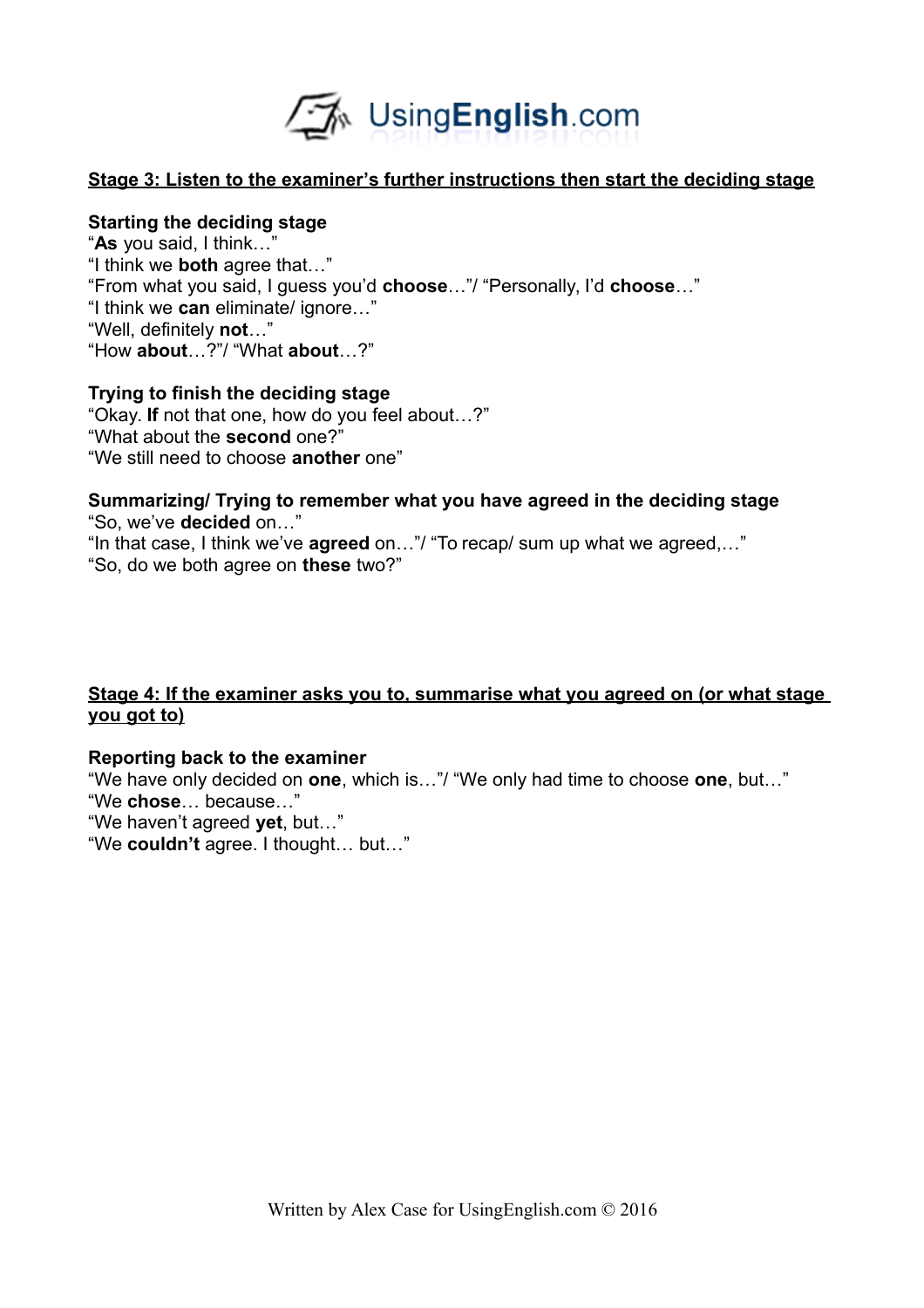

# **Stage 3: Listen to the examiner's further instructions then start the deciding stage**

#### **Starting the deciding stage**

"**As** you said, I think…" "I think we **both** agree that…" "From what you said, I guess you'd **choose**…"/ "Personally, I'd **choose**…" "I think we **can** eliminate/ ignore…" "Well, definitely **not**…" "How **about**…?"/ "What **about**…?"

#### **Trying to finish the deciding stage**

"Okay. **If** not that one, how do you feel about…?" "What about the **second** one?" "We still need to choose **another** one"

#### **Summarizing/ Trying to remember what you have agreed in the deciding stage** "So, we've **decided** on…"

"In that case, I think we've **agreed** on…"/ "To recap/ sum up what we agreed,…" "So, do we both agree on **these** two?"

# **Stage 4: If the examiner asks you to, summarise what you agreed on (or what stage you got to)**

#### **Reporting back to the examiner**

"We have only decided on **one**, which is…"/ "We only had time to choose **one**, but…" "We **chose**… because…"

"We haven't agreed **yet**, but…"

"We **couldn't** agree. I thought… but…"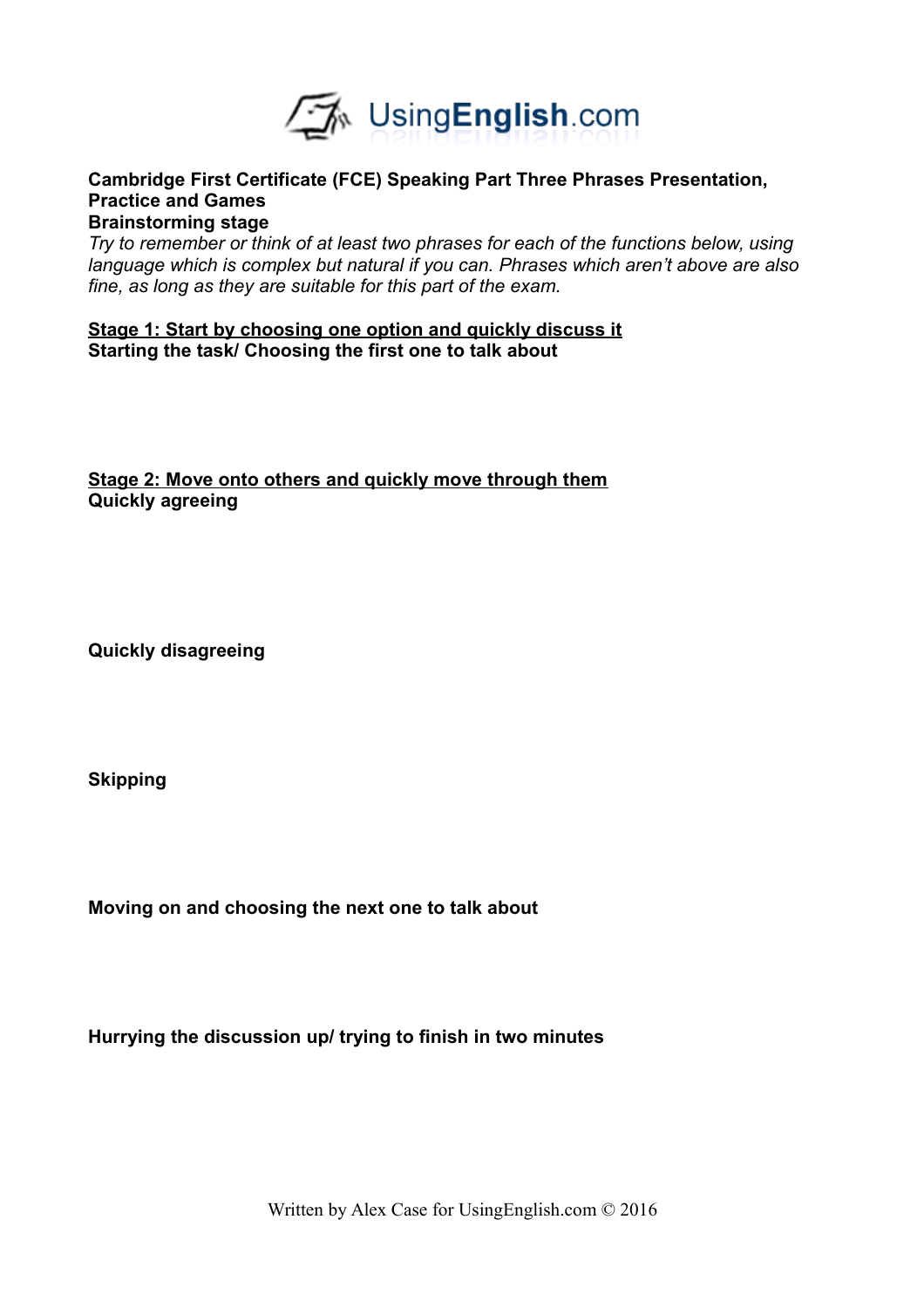

#### **Cambridge First Certificate (FCE) Speaking Part Three Phrases Presentation, Practice and Games Brainstorming stage**

*Try to remember or think of at least two phrases for each of the functions below, using language which is complex but natural if you can. Phrases which aren't above are also fine, as long as they are suitable for this part of the exam.* 

**Stage 1: Start by choosing one option and quickly discuss it Starting the task/ Choosing the first one to talk about**

**Stage 2: Move onto others and quickly move through them Quickly agreeing**

**Quickly disagreeing**

**Skipping**

**Moving on and choosing the next one to talk about**

**Hurrying the discussion up/ trying to finish in two minutes**

Written by Alex Case for UsingEnglish.com © 2016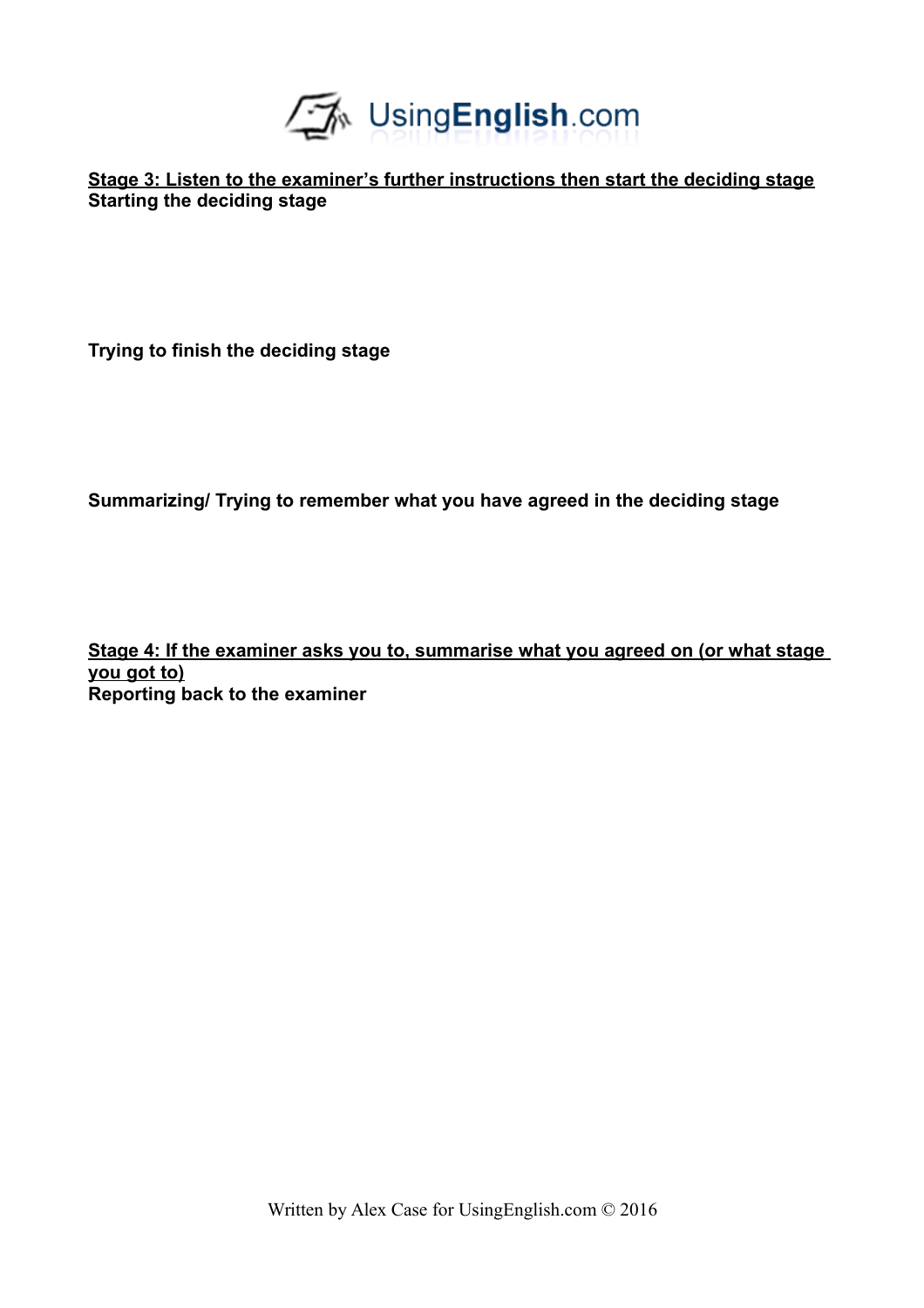

**Stage 3: Listen to the examiner's further instructions then start the deciding stage Starting the deciding stage**

**Trying to finish the deciding stage**

**Summarizing/ Trying to remember what you have agreed in the deciding stage**

**Stage 4: If the examiner asks you to, summarise what you agreed on (or what stage you got to) Reporting back to the examiner**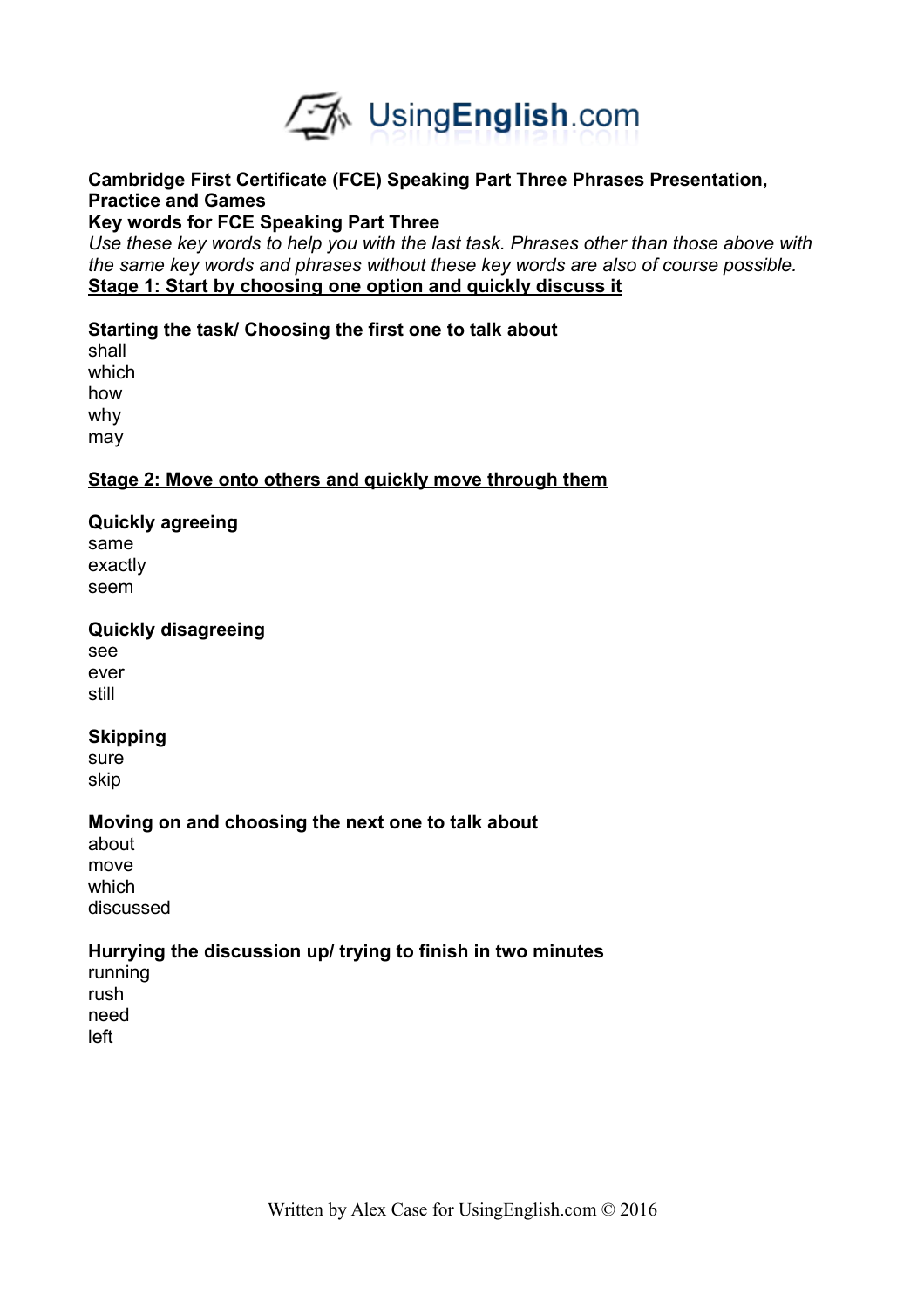

# **Cambridge First Certificate (FCE) Speaking Part Three Phrases Presentation, Practice and Games**

# **Key words for FCE Speaking Part Three**

*Use these key words to help you with the last task. Phrases other than those above with the same key words and phrases without these key words are also of course possible.*  **Stage 1: Start by choosing one option and quickly discuss it**

# **Starting the task/ Choosing the first one to talk about**

shall which how why may

# **Stage 2: Move onto others and quickly move through them**

# **Quickly agreeing**

same exactly seem

# **Quickly disagreeing**

see ever still

# **Skipping**

sure skip

# **Moving on and choosing the next one to talk about**

about move which discussed

# **Hurrying the discussion up/ trying to finish in two minutes**

running rush need left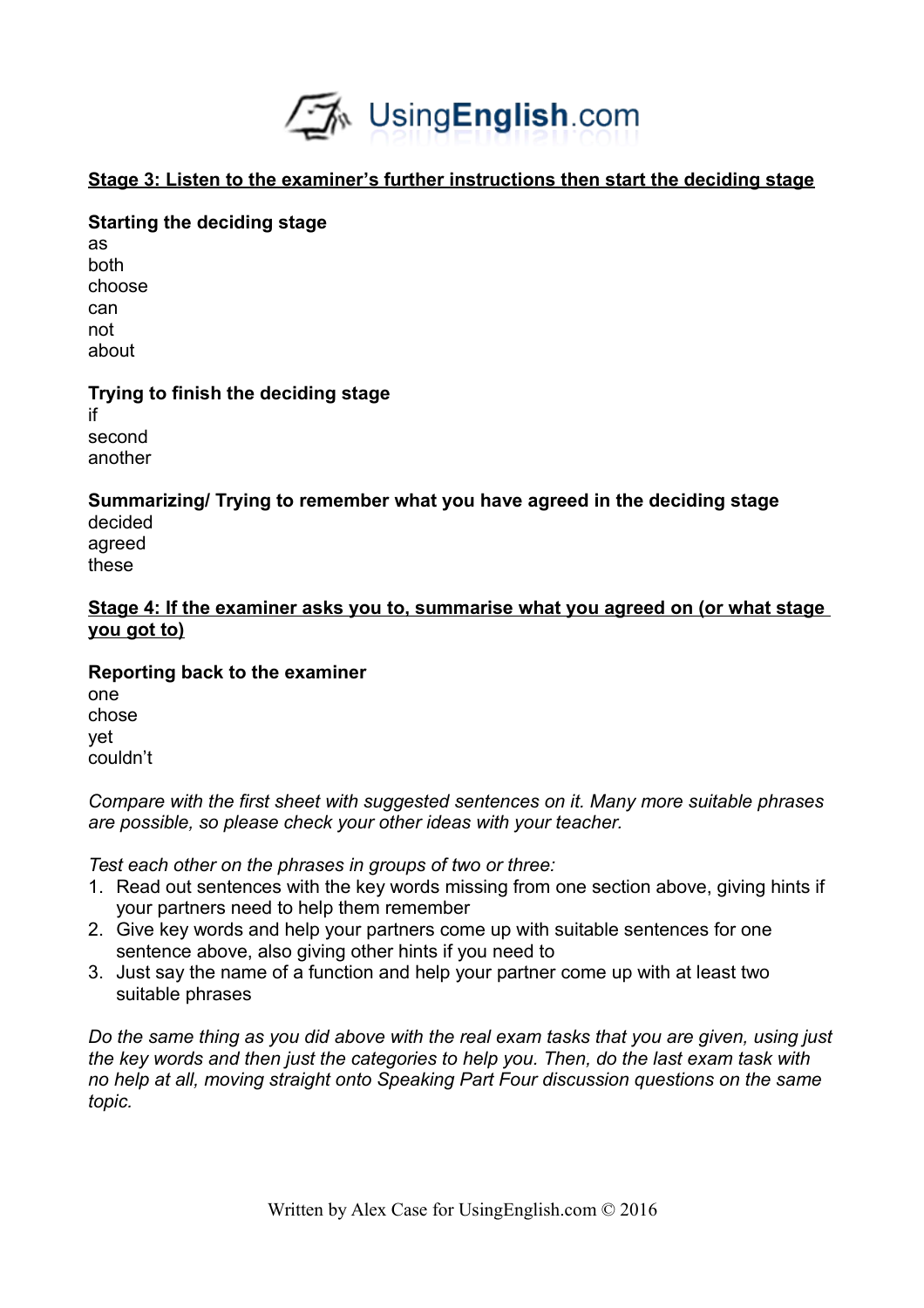

# **Stage 3: Listen to the examiner's further instructions then start the deciding stage**

# **Starting the deciding stage**

as both choose can not about

# **Trying to finish the deciding stage**

if second another

# **Summarizing/ Trying to remember what you have agreed in the deciding stage**

decided agreed these

# **Stage 4: If the examiner asks you to, summarise what you agreed on (or what stage you got to)**

**Reporting back to the examiner** one chose yet

couldn't

*Compare with the first sheet with suggested sentences on it. Many more suitable phrases are possible, so please check your other ideas with your teacher.* 

*Test each other on the phrases in groups of two or three:*

- 1. Read out sentences with the key words missing from one section above, giving hints if your partners need to help them remember
- 2. Give key words and help your partners come up with suitable sentences for one sentence above, also giving other hints if you need to
- 3. Just say the name of a function and help your partner come up with at least two suitable phrases

*Do the same thing as you did above with the real exam tasks that you are given, using just the key words and then just the categories to help you. Then, do the last exam task with no help at all, moving straight onto Speaking Part Four discussion questions on the same topic.*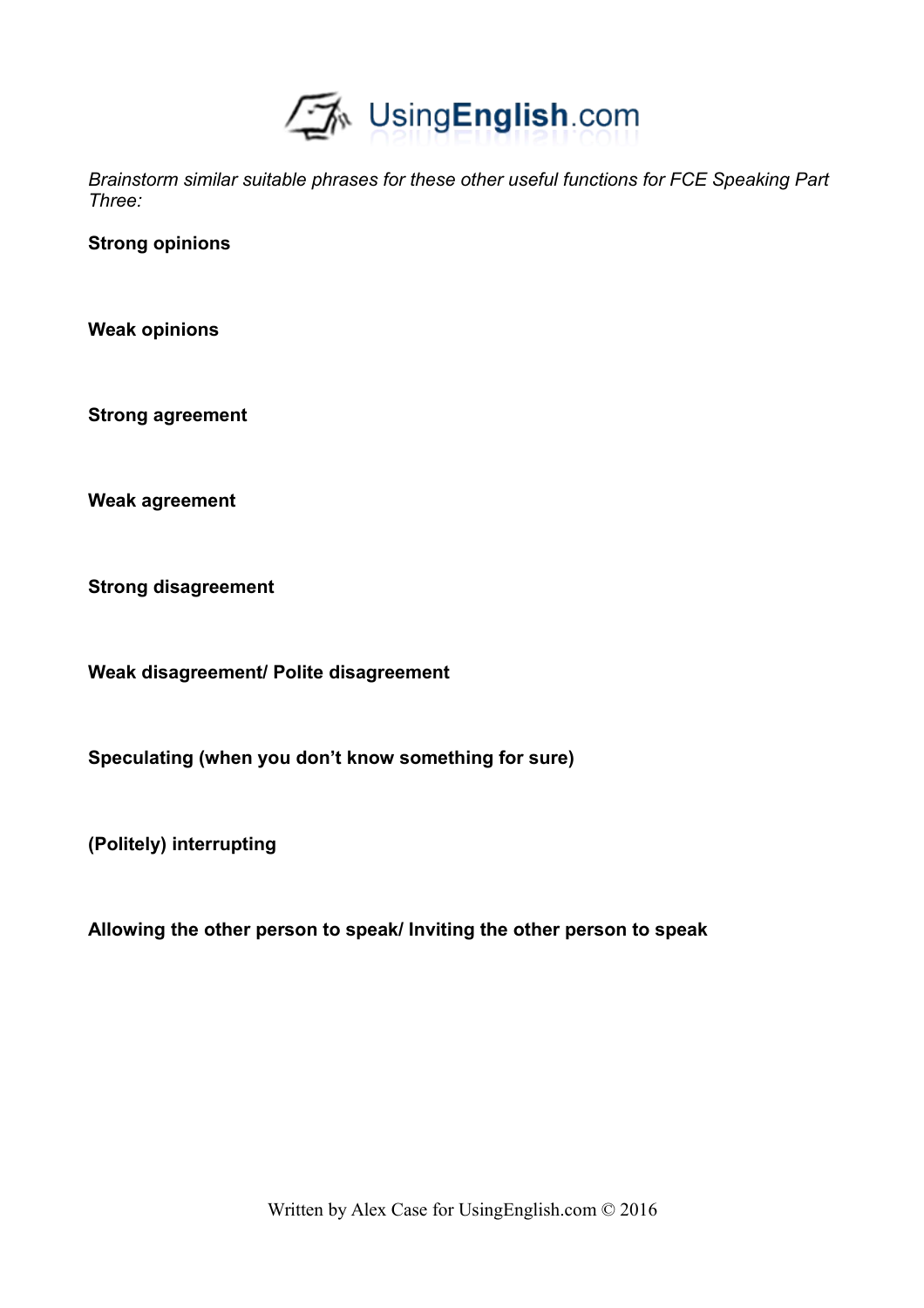

*Brainstorm similar suitable phrases for these other useful functions for FCE Speaking Part Three:*

**Strong opinions**

**Weak opinions**

**Strong agreement**

**Weak agreement**

**Strong disagreement**

**Weak disagreement/ Polite disagreement**

**Speculating (when you don't know something for sure)**

**(Politely) interrupting**

**Allowing the other person to speak/ Inviting the other person to speak**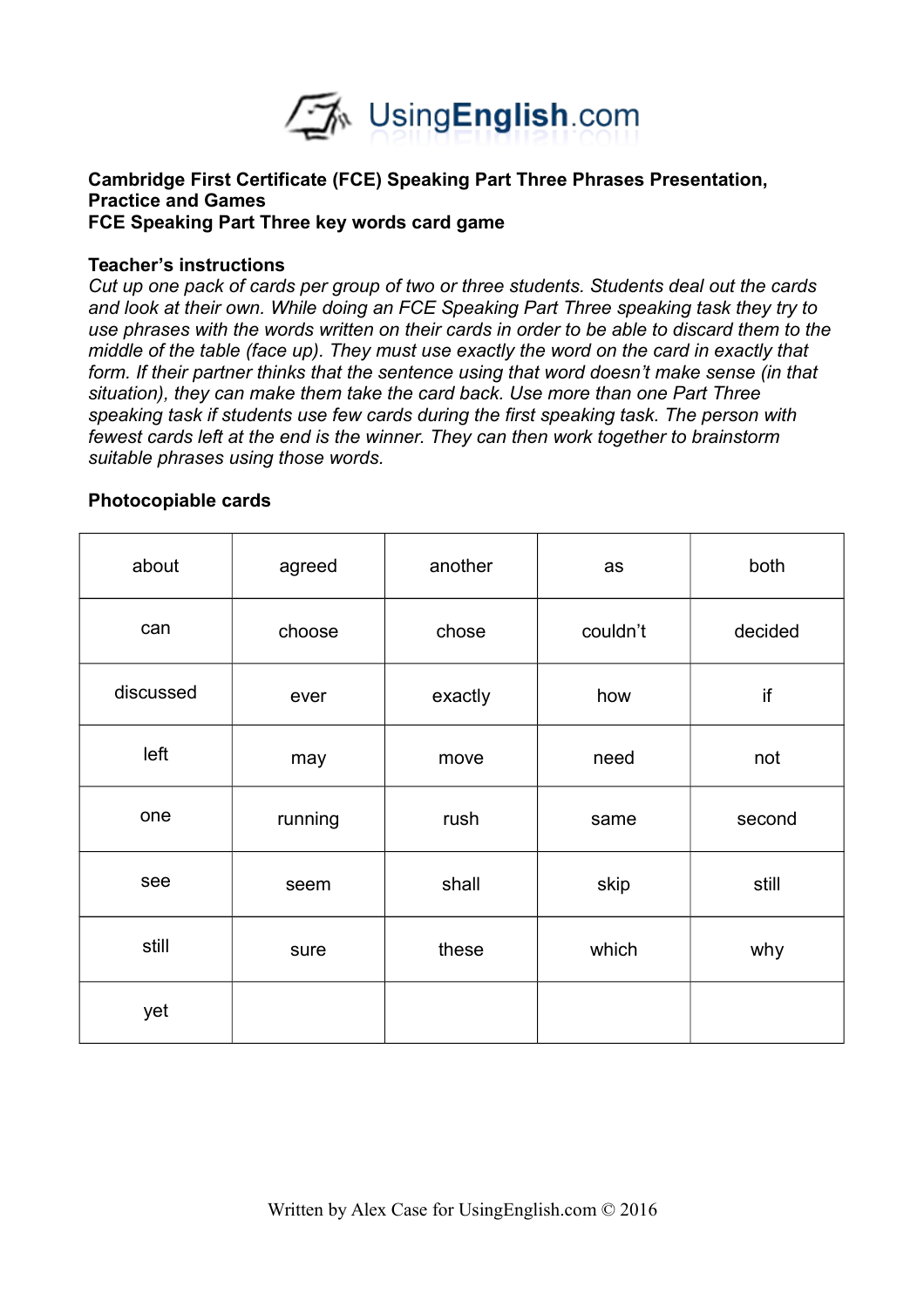

#### **Cambridge First Certificate (FCE) Speaking Part Three Phrases Presentation, Practice and Games FCE Speaking Part Three key words card game**

#### **Teacher's instructions**

*Cut up one pack of cards per group of two or three students. Students deal out the cards and look at their own. While doing an FCE Speaking Part Three speaking task they try to use phrases with the words written on their cards in order to be able to discard them to the middle of the table (face up). They must use exactly the word on the card in exactly that form. If their partner thinks that the sentence using that word doesn't make sense (in that situation), they can make them take the card back. Use more than one Part Three speaking task if students use few cards during the first speaking task. The person with fewest cards left at the end is the winner. They can then work together to brainstorm suitable phrases using those words.* 

#### **Photocopiable cards**

| about     | agreed  | another | as       | both    |
|-----------|---------|---------|----------|---------|
| can       | choose  | chose   | couldn't | decided |
| discussed | ever    | exactly | how      | if      |
| left      | may     | move    | need     | not     |
| one       | running | rush    | same     | second  |
| see       | seem    | shall   | skip     | still   |
| still     | sure    | these   | which    | why     |
| yet       |         |         |          |         |